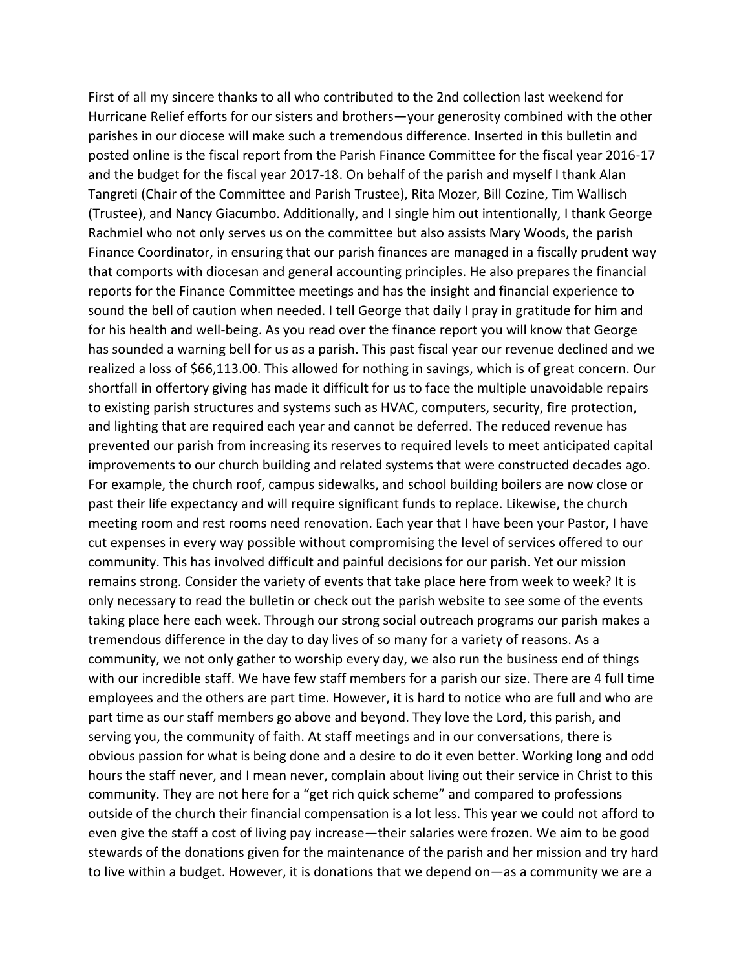First of all my sincere thanks to all who contributed to the 2nd collection last weekend for Hurricane Relief efforts for our sisters and brothers—your generosity combined with the other parishes in our diocese will make such a tremendous difference. Inserted in this bulletin and posted online is the fiscal report from the Parish Finance Committee for the fiscal year 2016-17 and the budget for the fiscal year 2017-18. On behalf of the parish and myself I thank Alan Tangreti (Chair of the Committee and Parish Trustee), Rita Mozer, Bill Cozine, Tim Wallisch (Trustee), and Nancy Giacumbo. Additionally, and I single him out intentionally, I thank George Rachmiel who not only serves us on the committee but also assists Mary Woods, the parish Finance Coordinator, in ensuring that our parish finances are managed in a fiscally prudent way that comports with diocesan and general accounting principles. He also prepares the financial reports for the Finance Committee meetings and has the insight and financial experience to sound the bell of caution when needed. I tell George that daily I pray in gratitude for him and for his health and well-being. As you read over the finance report you will know that George has sounded a warning bell for us as a parish. This past fiscal year our revenue declined and we realized a loss of \$66,113.00. This allowed for nothing in savings, which is of great concern. Our shortfall in offertory giving has made it difficult for us to face the multiple unavoidable repairs to existing parish structures and systems such as HVAC, computers, security, fire protection, and lighting that are required each year and cannot be deferred. The reduced revenue has prevented our parish from increasing its reserves to required levels to meet anticipated capital improvements to our church building and related systems that were constructed decades ago. For example, the church roof, campus sidewalks, and school building boilers are now close or past their life expectancy and will require significant funds to replace. Likewise, the church meeting room and rest rooms need renovation. Each year that I have been your Pastor, I have cut expenses in every way possible without compromising the level of services offered to our community. This has involved difficult and painful decisions for our parish. Yet our mission remains strong. Consider the variety of events that take place here from week to week? It is only necessary to read the bulletin or check out the parish website to see some of the events taking place here each week. Through our strong social outreach programs our parish makes a tremendous difference in the day to day lives of so many for a variety of reasons. As a community, we not only gather to worship every day, we also run the business end of things with our incredible staff. We have few staff members for a parish our size. There are 4 full time employees and the others are part time. However, it is hard to notice who are full and who are part time as our staff members go above and beyond. They love the Lord, this parish, and serving you, the community of faith. At staff meetings and in our conversations, there is obvious passion for what is being done and a desire to do it even better. Working long and odd hours the staff never, and I mean never, complain about living out their service in Christ to this community. They are not here for a "get rich quick scheme" and compared to professions outside of the church their financial compensation is a lot less. This year we could not afford to even give the staff a cost of living pay increase—their salaries were frozen. We aim to be good stewards of the donations given for the maintenance of the parish and her mission and try hard to live within a budget. However, it is donations that we depend on—as a community we are a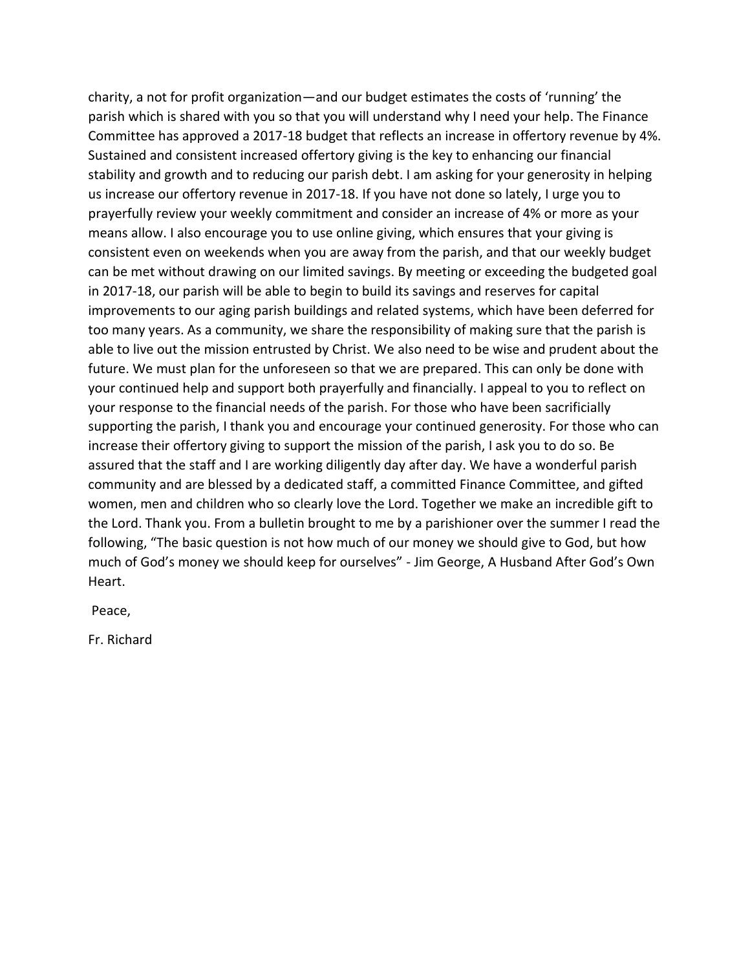charity, a not for profit organization—and our budget estimates the costs of 'running' the parish which is shared with you so that you will understand why I need your help. The Finance Committee has approved a 2017-18 budget that reflects an increase in offertory revenue by 4%. Sustained and consistent increased offertory giving is the key to enhancing our financial stability and growth and to reducing our parish debt. I am asking for your generosity in helping us increase our offertory revenue in 2017-18. If you have not done so lately, I urge you to prayerfully review your weekly commitment and consider an increase of 4% or more as your means allow. I also encourage you to use online giving, which ensures that your giving is consistent even on weekends when you are away from the parish, and that our weekly budget can be met without drawing on our limited savings. By meeting or exceeding the budgeted goal in 2017-18, our parish will be able to begin to build its savings and reserves for capital improvements to our aging parish buildings and related systems, which have been deferred for too many years. As a community, we share the responsibility of making sure that the parish is able to live out the mission entrusted by Christ. We also need to be wise and prudent about the future. We must plan for the unforeseen so that we are prepared. This can only be done with your continued help and support both prayerfully and financially. I appeal to you to reflect on your response to the financial needs of the parish. For those who have been sacrificially supporting the parish, I thank you and encourage your continued generosity. For those who can increase their offertory giving to support the mission of the parish, I ask you to do so. Be assured that the staff and I are working diligently day after day. We have a wonderful parish community and are blessed by a dedicated staff, a committed Finance Committee, and gifted women, men and children who so clearly love the Lord. Together we make an incredible gift to the Lord. Thank you. From a bulletin brought to me by a parishioner over the summer I read the following, "The basic question is not how much of our money we should give to God, but how much of God's money we should keep for ourselves" - Jim George, A Husband After God's Own Heart.

Peace,

Fr. Richard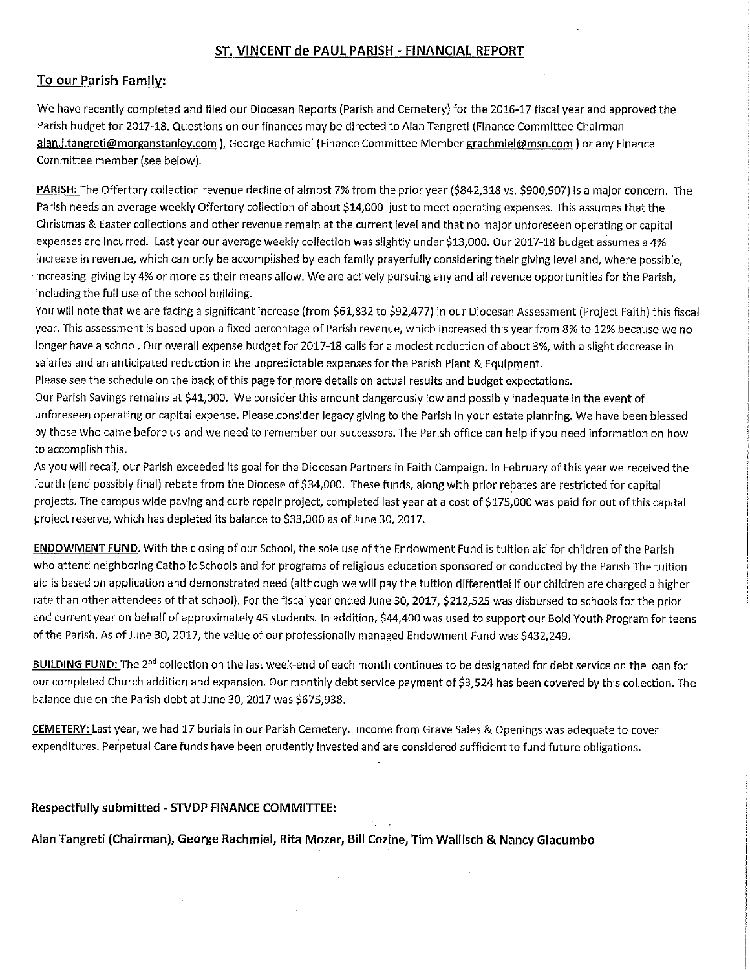## ST. VINCENT de PAUL PARISH - FINANCIAL REPORT

## To our Parish Family:

We have recently completed and filed our Diocesan Reports (Parish and Cemetery) for the 2016-17 fiscal year and approved the Parish budget for 2017-18. Questions on our finances may be directed to Alan Tangreti (Finance Committee Chairman alan.j.tangreti@morganstanley.com), George Rachmiel (Finance Committee Member grachmiel@msn.com) or any Finance Committee member (see below).

PARISH: The Offertory collection revenue decline of almost 7% from the prior year (\$842,318 vs. \$900,907) is a major concern. The Parish needs an average weekly Offertory collection of about \$14,000 just to meet operating expenses. This assumes that the Christmas & Easter collections and other revenue remain at the current level and that no major unforeseen operating or capital expenses are incurred. Last year our average weekly collection was slightly under \$13,000. Our 2017-18 budget assumes a 4% increase in revenue, which can only be accomplished by each family prayerfully considering their giving level and, where possible, increasing giving by 4% or more as their means allow. We are actively pursuing any and all revenue opportunities for the Parish, including the full use of the school building.

You will note that we are facing a significant increase (from \$61,832 to \$92,477) in our Diocesan Assessment (Project Faith) this fiscal year. This assessment is based upon a fixed percentage of Parish revenue, which increased this year from 8% to 12% because we no longer have a school. Our overall expense budget for 2017-18 calls for a modest reduction of about 3%, with a slight decrease in salaries and an anticipated reduction in the unpredictable expenses for the Parish Plant & Equipment.

Please see the schedule on the back of this page for more details on actual results and budget expectations.

Our Parish Savings remains at \$41,000. We consider this amount dangerously low and possibly inadequate in the event of unforeseen operating or capital expense. Please consider legacy giving to the Parish in your estate planning. We have been blessed by those who came before us and we need to remember our successors. The Parish office can help if you need information on how to accomplish this.

As you will recall, our Parish exceeded its goal for the Diocesan Partners in Faith Campaign. In February of this year we received the fourth (and possibly final) rebate from the Diocese of \$34,000. These funds, along with prior rebates are restricted for capital projects. The campus wide paving and curb repair project, completed last year at a cost of \$175,000 was paid for out of this capital project reserve, which has depleted its balance to \$33,000 as of June 30, 2017.

**ENDOWMENT FUND.** With the closing of our School, the sole use of the Endowment Fund is tuition aid for children of the Parish who attend neighboring Catholic Schools and for programs of religious education sponsored or conducted by the Parish The tuition aid is based on application and demonstrated need (although we will pay the tuition differential if our children are charged a higher rate than other attendees of that school). For the fiscal year ended June 30, 2017, \$212,525 was disbursed to schools for the prior and current year on behalf of approximately 45 students. In addition, \$44,400 was used to support our Bold Youth Program for teens of the Parish. As of June 30, 2017, the value of our professionally managed Endowment Fund was \$432,249.

BUILDING FUND: The 2<sup>nd</sup> collection on the last week-end of each month continues to be designated for debt service on the loan for our completed Church addition and expansion. Our monthly debt service payment of \$3,524 has been covered by this collection. The balance due on the Parish debt at June 30, 2017 was \$675,938.

CEMETERY: Last year, we had 17 burials in our Parish Cemetery. Income from Grave Sales & Openings was adequate to cover expenditures. Perpetual Care funds have been prudently invested and are considered sufficient to fund future obligations.

## Respectfully submitted - STVDP FINANCE COMMITTEE:

Alan Tangreti (Chairman), George Rachmiel, Rita Mozer, Bill Cozine, Tim Wallisch & Nancy Giacumbo